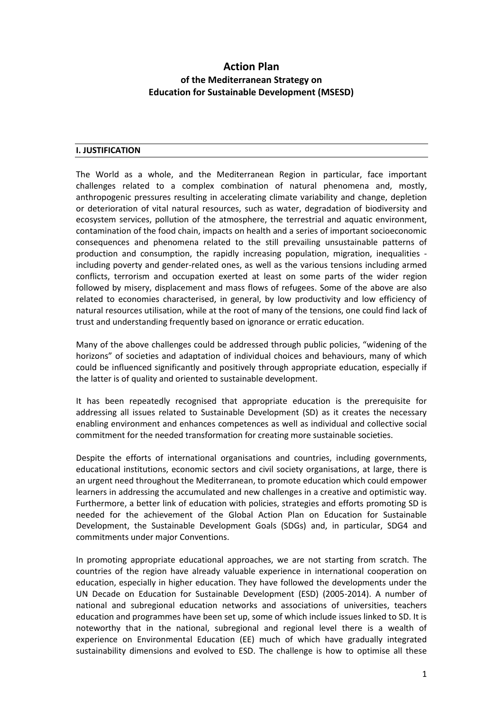# **Action Plan of the Mediterranean Strategy on Education for Sustainable Development (MSESD)**

#### **I. JUSTIFICATION**

The World as a whole, and the Mediterranean Region in particular, face important challenges related to a complex combination of natural phenomena and, mostly, anthropogenic pressures resulting in accelerating climate variability and change, depletion or deterioration of vital natural resources, such as water, degradation of biodiversity and ecosystem services, pollution of the atmosphere, the terrestrial and aquatic environment, contamination of the food chain, impacts on health and a series of important socioeconomic consequences and phenomena related to the still prevailing unsustainable patterns of production and consumption, the rapidly increasing population, migration, inequalities including poverty and gender-related ones, as well as the various tensions including armed conflicts, terrorism and occupation exerted at least on some parts of the wider region followed by misery, displacement and mass flows of refugees. Some of the above are also related to economies characterised, in general, by low productivity and low efficiency of natural resources utilisation, while at the root of many of the tensions, one could find lack of trust and understanding frequently based on ignorance or erratic education.

Many of the above challenges could be addressed through public policies, "widening of the horizons" of societies and adaptation of individual choices and behaviours, many of which could be influenced significantly and positively through appropriate education, especially if the latter is of quality and oriented to sustainable development.

It has been repeatedly recognised that appropriate education is the prerequisite for addressing all issues related to Sustainable Development (SD) as it creates the necessary enabling environment and enhances competences as well as individual and collective social commitment for the needed transformation for creating more sustainable societies.

Despite the efforts of international organisations and countries, including governments, educational institutions, economic sectors and civil society organisations, at large, there is an urgent need throughout the Mediterranean, to promote education which could empower learners in addressing the accumulated and new challenges in a creative and optimistic way. Furthermore, a better link of education with policies, strategies and efforts promoting SD is needed for the achievement of the Global Action Plan on Education for Sustainable Development, the Sustainable Development Goals (SDGs) and, in particular, SDG4 and commitments under major Conventions.

In promoting appropriate educational approaches, we are not starting from scratch. The countries of the region have already valuable experience in international cooperation on education, especially in higher education. They have followed the developments under the UN Decade on Education for Sustainable Development (ESD) (2005-2014). A number of national and subregional education networks and associations of universities, teachers education and programmes have been set up, some of which include issues linked to SD. It is noteworthy that in the national, subregional and regional level there is a wealth of experience on Environmental Education (EE) much of which have gradually integrated sustainability dimensions and evolved to ESD. The challenge is how to optimise all these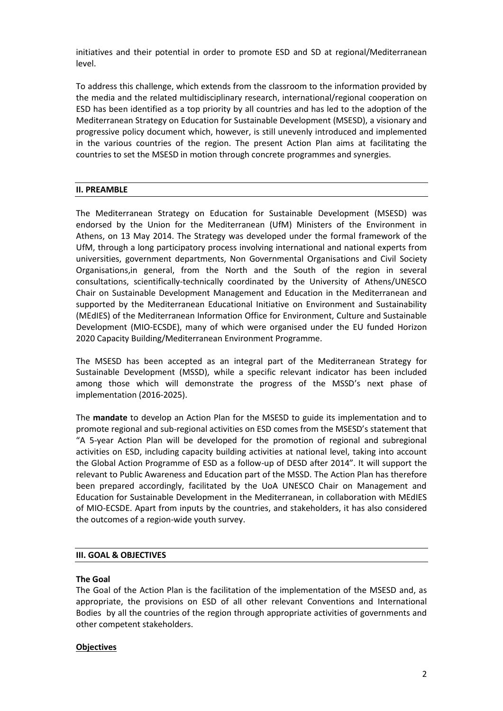initiatives and their potential in order to promote ESD and SD at regional/Mediterranean level.

To address this challenge, which extends from the classroom to the information provided by the media and the related multidisciplinary research, international/regional cooperation on ESD has been identified as a top priority by all countries and has led to the adoption of the Mediterranean Strategy on Education for Sustainable Development (MSESD), a visionary and progressive policy document which, however, is still unevenly introduced and implemented in the various countries of the region. The present Action Plan aims at facilitating the countries to set the MSESD in motion through concrete programmes and synergies.

### **II. PREAMBLE**

The Mediterranean Strategy on Education for Sustainable Development (MSESD) was endorsed by the Union for the Mediterranean (UfM) Ministers of the Environment in Athens, on 13 May 2014. The Strategy was developed under the formal framework of the UfM, through a long participatory process involving international and national experts from universities, government departments, Non Governmental Organisations and Civil Society Organisations,in general, from the North and the South of the region in several consultations, scientifically-technically coordinated by the University of Athens/UNESCO Chair on Sustainable Development Management and Education in the Mediterranean and supported by the Mediterranean Educational Initiative on Environment and Sustainability (MEdIES) of the Mediterranean Information Office for Environment, Culture and Sustainable Development (MIO-ECSDE), many of which were organised under the EU funded Horizon 2020 Capacity Building/Mediterranean Environment Programme.

The MSESD has been accepted as an integral part of the Mediterranean Strategy for Sustainable Development (MSSD), while a specific relevant indicator has been included among those which will demonstrate the progress of the MSSD's next phase of implementation (2016-2025).

The **mandate** to develop an Action Plan for the MSESD to guide its implementation and to promote regional and sub-regional activities on ESD comes from the MSESD's statement that "A 5-year Action Plan will be developed for the promotion of regional and subregional activities on ESD, including capacity building activities at national level, taking into account the Global Action Programme of ESD as a follow-up of DESD after 2014". It will support the relevant to Public Awareness and Education part of the MSSD. The Action Plan has therefore been prepared accordingly, facilitated by the UoA UNESCO Chair on Management and Education for Sustainable Development in the Mediterranean, in collaboration with MEdIES of MIO-ECSDE. Apart from inputs by the countries, and stakeholders, it has also considered the outcomes of a region-wide youth survey.

#### **III. GOAL & OBJECTIVES**

#### **The Goal**

The Goal of the Action Plan is the facilitation of the implementation of the MSESD and, as appropriate, the provisions on ESD of all other relevant Conventions and International Bodiesby all the countries of the region through appropriate activities of governments and other competent stakeholders.

#### **Objectives**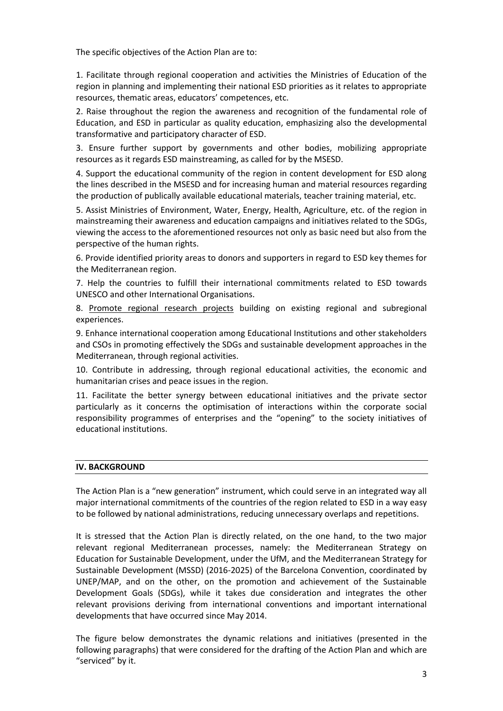The specific objectives of the Action Plan are to:

1. Facilitate through regional cooperation and activities the Ministries of Education of the region in planning and implementing their national ESD priorities as it relates to appropriate resources, thematic areas, educators' competences, etc.

2. Raise throughout the region the awareness and recognition of the fundamental role of Education, and ESD in particular as quality education, emphasizing also the developmental transformative and participatory character of ESD.

3. Ensure further support by governments and other bodies, mobilizing appropriate resources as it regards ESD mainstreaming, as called for by the MSESD.

4. Support the educational community of the region in content development for ESD along the lines described in the MSESD and for increasing human and material resources regarding the production of publically available educational materials, teacher training material, etc.

5. Assist Ministries of Environment, Water, Energy, Health, Agriculture, etc. of the region in mainstreaming their awareness and education campaigns and initiatives related to the SDGs, viewing the access to the aforementioned resources not only as basic need but also from the perspective of the human rights.

6. Provide identified priority areas to donors and supporters in regard to ESD key themes for the Mediterranean region.

7. Help the countries to fulfill their international commitments related to ESD towards UNESCO and other International Organisations.

8. Promote regional research projects building on existing regional and subregional experiences.

9. Enhance international cooperation among Educational Institutions and other stakeholders and CSOs in promoting effectively the SDGs and sustainable development approaches in the Mediterranean, through regional activities.

10. Contribute in addressing, through regional educational activities, the economic and humanitarian crises and peace issues in the region.

11. Facilitate the better synergy between educational initiatives and the private sector particularly as it concerns the optimisation of interactions within the corporate social responsibility programmes of enterprises and the "opening" to the society initiatives of educational institutions.

#### **IV. BACKGROUND**

The Action Plan is a "new generation" instrument, which could serve in an integrated way all major international commitments of the countries of the region related to ESD in a way easy to be followed by national administrations, reducing unnecessary overlaps and repetitions.

It is stressed that the Action Plan is directly related, on the one hand, to the two major relevant regional Mediterranean processes, namely: the Mediterranean Strategy on Education for Sustainable Development, under the UfM, and the Mediterranean Strategy for Sustainable Development (MSSD) (2016-2025) of the Barcelona Convention, coordinated by UNEP/MAP, and on the other, on the promotion and achievement of the Sustainable Development Goals (SDGs), while it takes due consideration and integrates the other relevant provisions deriving from international conventions and important international developments that have occurred since May 2014.

The figure below demonstrates the dynamic relations and initiatives (presented in the following paragraphs) that were considered for the drafting of the Action Plan and which are "serviced" by it.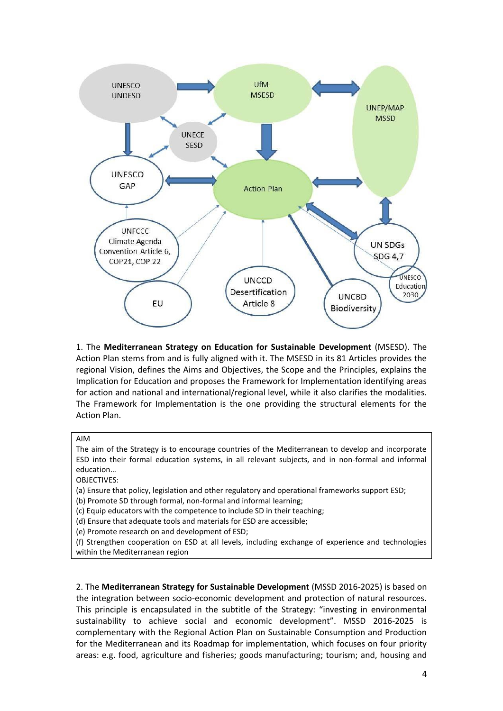

1. The **Mediterranean Strategy on Education for Sustainable Development** (MSESD). The Action Plan stems from and is fully aligned with it. The MSESD in its 81 Articles provides the regional Vision, defines the Aims and Objectives, the Scope and the Principles, explains the Implication for Education and proposes the Framework for Implementation identifying areas for action and national and international/regional level, while it also clarifies the modalities. The Framework for Implementation is the one providing the structural elements for the Action Plan.

AIM

The aim of the Strategy is to encourage countries of the Mediterranean to develop and incorporate ESD into their formal education systems, in all relevant subjects, and in non-formal and informal education…

OBJECTIVES:

(a) Ensure that policy, legislation and other regulatory and operational frameworks support ESD;

(b) Promote SD through formal, non-formal and informal learning;

(c) Equip educators with the competence to include SD in their teaching;

(d) Ensure that adequate tools and materials for ESD are accessible;

(e) Promote research on and development of ESD;

(f) Strengthen cooperation on ESD at all levels, including exchange of experience and technologies within the Mediterranean region

2. The **Mediterranean Strategy for Sustainable Development** (MSSD 2016-2025) is based on the integration between socio-economic development and protection of natural resources. This principle is encapsulated in the subtitle of the Strategy: "investing in environmental sustainability to achieve social and economic development". MSSD 2016-2025 is complementary with the Regional Action Plan on Sustainable Consumption and Production for the Mediterranean and its Roadmap for implementation, which focuses on four priority areas: e.g. food, agriculture and fisheries; goods manufacturing; tourism; and, housing and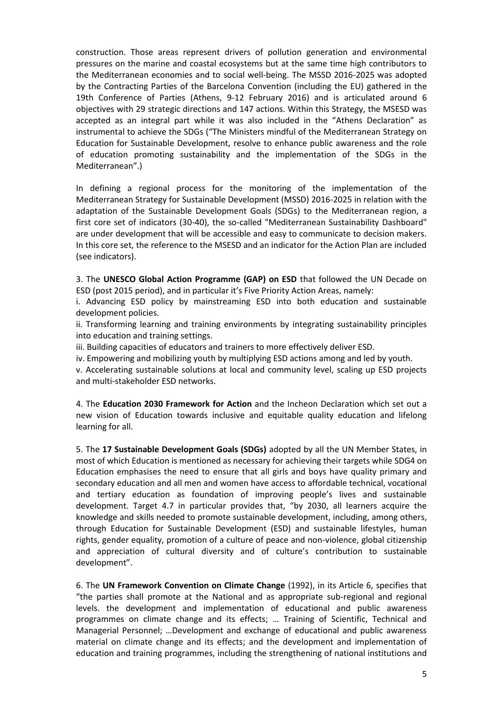construction. Those areas represent drivers of pollution generation and environmental pressures on the marine and coastal ecosystems but at the same time high contributors to the Mediterranean economies and to social well-being. The MSSD 2016-2025 was adopted by the Contracting Parties of the Barcelona Convention (including the EU) gathered in the 19th Conference of Parties (Athens, 9-12 February 2016) and is articulated around 6 objectives with 29 strategic directions and 147 actions. Within this Strategy, the MSESD was accepted as an integral part while it was also included in the "Athens Declaration" as instrumental to achieve the SDGs ("The Ministers mindful of the Mediterranean Strategy on Education for Sustainable Development, resolve to enhance public awareness and the role of education promoting sustainability and the implementation of the SDGs in the Mediterranean".)

In defining a regional process for the monitoring of the implementation of the Mediterranean Strategy for Sustainable Development (MSSD) 2016-2025 in relation with the adaptation of the Sustainable Development Goals (SDGs) to the Mediterranean region, a first core set of indicators (30-40), the so-called "Mediterranean Sustainability Dashboard" are under development that will be accessible and easy to communicate to decision makers. In this core set, the reference to the MSESD and an indicator for the Action Plan are included (see indicators).

3. The **UNESCO Global Action Programme (GAP) on ESD** that followed the UN Decade on ESD (post 2015 period), and in particular it's Five Priority Action Areas, namely:

i. Advancing ESD policy by mainstreaming ESD into both education and sustainable development policies.

ii. Transforming learning and training environments by integrating sustainability principles into education and training settings.

iii. Building capacities of educators and trainers to more effectively deliver ESD.

iv. Empowering and mobilizing youth by multiplying ESD actions among and led by youth.

v. Accelerating sustainable solutions at local and community level, scaling up ESD projects and multi-stakeholder ESD networks.

4. The **Education 2030 Framework for Action** and the Incheon Declaration which set out a new vision of Education towards inclusive and equitable quality education and lifelong learning for all.

5. The **17 Sustainable Development Goals (SDGs)** adopted by all the UN Member States, in most of which Education is mentioned as necessary for achieving their targets while SDG4 on Education emphasises the need to ensure that all girls and boys have quality primary and secondary education and all men and women have access to affordable technical, vocational and tertiary education as foundation of improving people's lives and sustainable development. Target 4.7 in particular provides that, "by 2030, all learners acquire the knowledge and skills needed to promote sustainable development, including, among others, through Education for Sustainable Development (ESD) and sustainable lifestyles, human rights, gender equality, promotion of a culture of peace and non-violence, global citizenship and appreciation of cultural diversity and of culture's contribution to sustainable development".

6. The **UN Framework Convention on Climate Change** (1992), in its Article 6, specifies that "the parties shall promote at the National and as appropriate sub-regional and regional levels. the development and implementation of educational and public awareness programmes on climate change and its effects; … Training of Scientific, Technical and Managerial Personnel; …Development and exchange of educational and public awareness material on climate change and its effects; and the development and implementation of education and training programmes, including the strengthening of national institutions and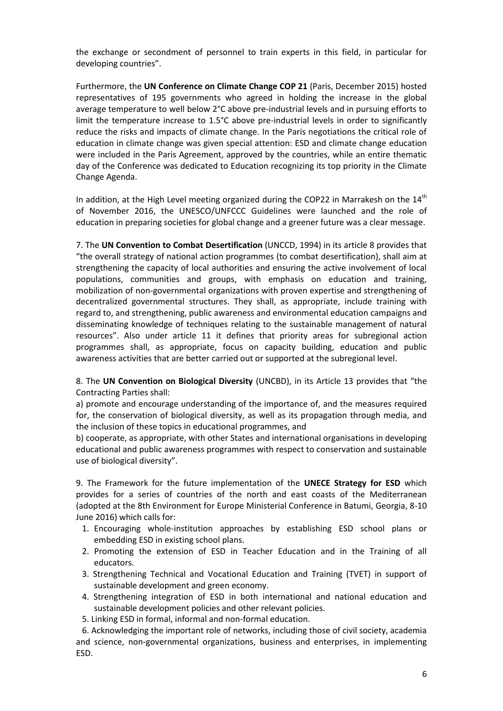the exchange or secondment of personnel to train experts in this field, in particular for developing countries".

Furthermore, the **UN Conference on Climate Change COP 21** (Paris, December 2015) hosted representatives of 195 governments who agreed in holding the increase in the global average temperature to well below 2°C above pre-industrial levels and in pursuing efforts to limit the temperature increase to 1.5°C above pre-industrial levels in order to significantly reduce the risks and impacts of climate change. In the Paris negotiations the critical role of education in climate change was given special attention: ESD and climate change education were included in the Paris Agreement, approved by the countries, while an entire thematic day of the Conference was dedicated to Education recognizing its top priority in the Climate Change Agenda.

In addition, at the High Level meeting organized during the COP22 in Marrakesh on the  $14<sup>th</sup>$ of November 2016, the UNESCO/UNFCCC Guidelines were launched and the role of education in preparing societies for global change and a greener future was a clear message.

7. The **UN Convention to Combat Desertification** (UNCCD, 1994) in its article 8 provides that "the overall strategy of national action programmes (to combat desertification), shall aim at strengthening the capacity of local authorities and ensuring the active involvement of local populations, communities and groups, with emphasis on education and training, mobilization of non-governmental organizations with proven expertise and strengthening of decentralized governmental structures. They shall, as appropriate, include training with regard to, and strengthening, public awareness and environmental education campaigns and disseminating knowledge of techniques relating to the sustainable management of natural resources". Also under article 11 it defines that priority areas for subregional action programmes shall, as appropriate, focus on capacity building, education and public awareness activities that are better carried out or supported at the subregional level.

8. The **UN Convention on Biological Diversity** (UNCBD), in its Article 13 provides that "the Contracting Parties shall:

a) promote and encourage understanding of the importance of, and the measures required for, the conservation of biological diversity, as well as its propagation through media, and the inclusion of these topics in educational programmes, and

b) cooperate, as appropriate, with other States and international organisations in developing educational and public awareness programmes with respect to conservation and sustainable use of biological diversity".

9. The Framework for the future implementation of the **UNECE Strategy for ESD** which provides for a series of countries of the north and east coasts of the Mediterranean (adopted at the 8th Environment for Europe Ministerial Conference in Batumi, Georgia, 8-10 June 2016) which calls for:

- 1. Encouraging whole-institution approaches by establishing ESD school plans or embedding ESD in existing school plans.
- 2. Promoting the extension of ESD in Teacher Education and in the Training of all educators.
- 3. Strengthening Technical and Vocational Education and Training (TVET) in support of sustainable development and green economy.
- 4. Strengthening integration of ESD in both international and national education and sustainable development policies and other relevant policies.
- 5. Linking ESD in formal, informal and non-formal education.

6. Acknowledging the important role of networks, including those of civil society, academia and science, non-governmental organizations, business and enterprises, in implementing ESD.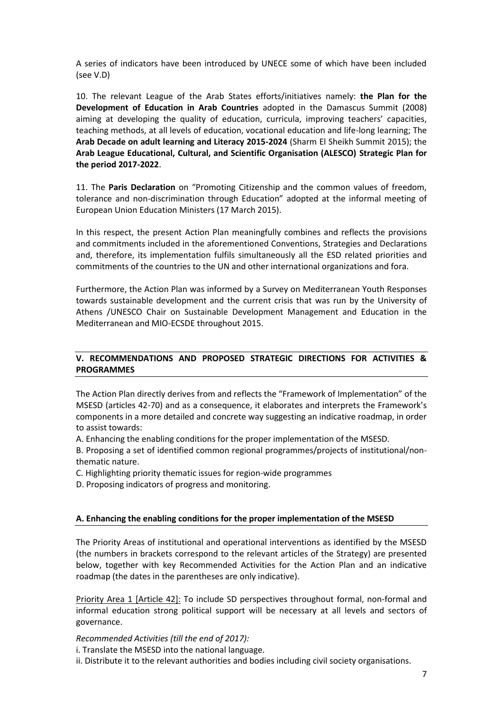A series of indicators have been introduced by UNECE some of which have been included (see V.D)

10. The relevant League of the Arab States efforts/initiatives namely: **the Plan for the Development of Education in Arab Countries** adopted in the Damascus Summit (2008) aiming at developing the quality of education, curricula, improving teachers' capacities, teaching methods, at all levels of education, vocational education and life-long learning; The **Arab Decade on adult learning and Literacy 2015-2024** (Sharm El Sheikh Summit 2015); the **Arab League Educational, Cultural, and Scientific Organisation (ALESCO) Strategic Plan for the period 2017-2022**.

11. The **Paris Declaration** on "Promoting Citizenship and the common values of freedom, tolerance and non-discrimination through Education" adopted at the informal meeting of European Union Education Ministers (17 March 2015).

In this respect, the present Action Plan meaningfully combines and reflects the provisions and commitments included in the aforementioned Conventions, Strategies and Declarations and, therefore, its implementation fulfils simultaneously all the ESD related priorities and commitments of the countries to the UN and other international organizations and fora.

Furthermore, the Action Plan was informed by a Survey on Mediterranean Youth Responses towards sustainable development and the current crisis that was run by the University of Athens /UNESCO Chair on Sustainable Development Management and Education in the Mediterranean and MIO-ECSDE throughout 2015.

# **V. RECOMMENDATIONS AND PROPOSED STRATEGIC DIRECTIONS FOR ACTIVITIES & PROGRAMMES**

The Action Plan directly derives from and reflects the "Framework of Implementation" of the MSESD (articles 42-70) and as a consequence, it elaborates and interprets the Framework's components in a more detailed and concrete way suggesting an indicative roadmap, in order to assist towards:

A. Enhancing the enabling conditions for the proper implementation of the MSESD.

B. Proposing a set of identified common regional programmes/projects of institutional/nonthematic nature.

C. Highlighting priority thematic issues for region-wide programmes

D. Proposing indicators of progress and monitoring.

# **A. Enhancing the enabling conditions for the proper implementation of the MSESD**

The Priority Areas of institutional and operational interventions as identified by the MSESD (the numbers in brackets correspond to the relevant articles of the Strategy) are presented below, together with key Recommended Activities for the Action Plan and an indicative roadmap (the dates in the parentheses are only indicative).

Priority Area 1 [Article 42]: To include SD perspectives throughout formal, non-formal and informal education strong political support will be necessary at all levels and sectors of governance.

*Recommended Activities (till the end of 2017):*

i. Translate the MSESD into the national language.

ii. Distribute it to the relevant authorities and bodies including civil society organisations.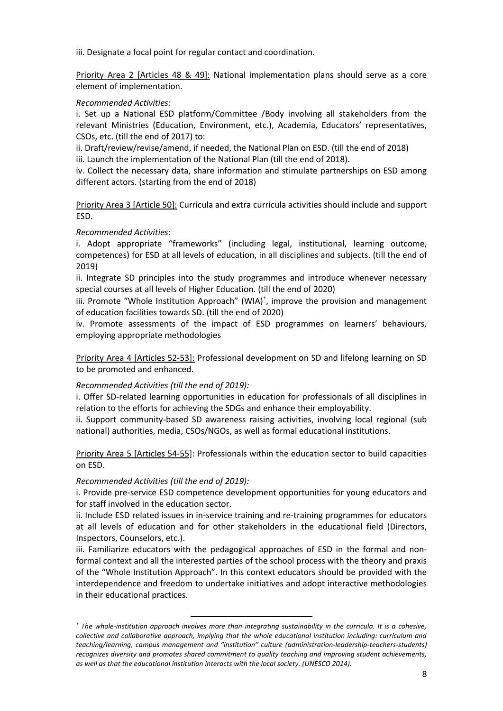iii. Designate a focal point for regular contact and coordination.

Priority Area 2 [Articles 48 & 49]: National implementation plans should serve as a core element of implementation.

#### *Recommended Activities:*

i. Set up a National ESD platform/Committee /Body involving all stakeholders from the relevant Ministries (Education, Environment, etc.), Academia, Educators' representatives, CSOs, etc. (till the end of 2017) to:

ii. Draft/review/revise/amend, if needed, the National Plan on ESD. (till the end of 2018) iii. Launch the implementation of the National Plan (till the end of 2018).

iv. Collect the necessary data, share information and stimulate partnerships on ESD among different actors. (starting from the end of 2018)

Priority Area 3 [Article 50]: Curricula and extra curricula activities should include and support ESD.

# *Recommended Activities:*

i. Adopt appropriate "frameworks" (including legal, institutional, learning outcome, competences) for ESD at all levels of education, in all disciplines and subjects. (till the end of 2019)

ii. Integrate SD principles into the study programmes and introduce whenever necessary special courses at all levels of Higher Education. (till the end of 2020)

iii. Promote "Whole Institution Approach" (WIA)<sup>\*</sup>, improve the provision and management of education facilities towards SD. (till the end of 2020)

iv. Promote assessments of the impact of ESD programmes on learners' behaviours, employing appropriate methodologies

Priority Area 4 [Articles 52-53]: Professional development on SD and lifelong learning on SD to be promoted and enhanced.

#### *Recommended Activities (till the end of 2019):*

i. Offer SD-related learning opportunities in education for professionals of all disciplines in relation to the efforts for achieving the SDGs and enhance their employability.

ii. Support community-based SD awareness raising activities, involving local regional (sub national) authorities, media, CSOs/NGOs, as well as formal educational institutions.

Priority Area 5 [Articles 54-55]: Professionals within the education sector to build capacities on ESD.

#### *Recommended Activities (till the end of 2019):*

 $\overline{\phantom{a}}$ 

i. Provide pre-service ESD competence development opportunities for young educators and for staff involved in the education sector.

ii. Include ESD related issues in in-service training and re-training programmes for educators at all levels of education and for other stakeholders in the educational field (Directors, Inspectors, Counselors, etc.).

iii. Familiarize educators with the pedagogical approaches of ESD in the formal and nonformal context and all the interested parties of the school process with the theory and praxis of the "Whole Institution Approach". In this context educators should be provided with the interdependence and freedom to undertake initiatives and adopt interactive methodologies in their educational practices.

*The whole-institution approach involves more than integrating sustainability in the curricula. It is a cohesive, collective and collaborative approach, implying that the whole educational institution including: curriculum and teaching/learning, campus management and "institution" culture (administration-leadership-teachers-students) recognizes diversity and promotes shared commitment to quality teaching and improving student achievements, as well as that the educational institution interacts with the local society. (UNESCO 2014).*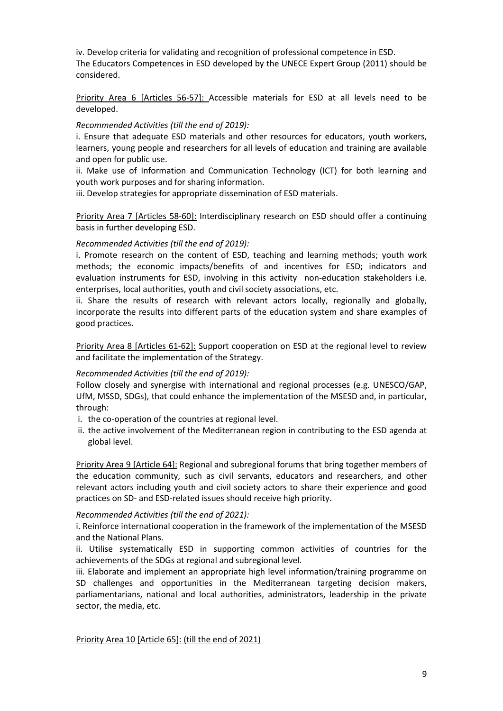iv. Develop criteria for validating and recognition of professional competence in ESD. The Educators Competences in ESD developed by the UNECE Expert Group (2011) should be considered.

Priority Area 6 [Articles 56-57]: Accessible materials for ESD at all levels need to be developed.

#### *Recommended Activities (till the end of 2019):*

i. Ensure that adequate ESD materials and other resources for educators, youth workers, learners, young people and researchers for all levels of education and training are available and open for public use.

ii. Make use of Information and Communication Technology (ICT) for both learning and youth work purposes and for sharing information.

iii. Develop strategies for appropriate dissemination of ESD materials.

Priority Area 7 [Articles 58-60]: Interdisciplinary research on ESD should offer a continuing basis in further developing ESD.

### *Recommended Activities (till the end of 2019):*

i. Promote research on the content of ESD, teaching and learning methods; youth work methods; the economic impacts/benefits of and incentives for ESD; indicators and evaluation instruments for ESD, involving in this activity non-education stakeholders i.e. enterprises, local authorities, youth and civil society associations, etc.

ii. Share the results of research with relevant actors locally, regionally and globally, incorporate the results into different parts of the education system and share examples of good practices.

Priority Area 8 [Articles 61-62]: Support cooperation on ESD at the regional level to review and facilitate the implementation of the Strategy.

#### *Recommended Activities (till the end of 2019):*

Follow closely and synergise with international and regional processes (e.g. UNESCO/GAP, UfM, MSSD, SDGs), that could enhance the implementation of the MSESD and, in particular, through:

- i. the co-operation of the countries at regional level.
- ii. the active involvement of the Mediterranean region in contributing to the ESD agenda at global level.

Priority Area 9 [Article 64]: Regional and subregional forums that bring together members of the education community, such as civil servants, educators and researchers, and other relevant actors including youth and civil society actors to share their experience and good practices on SD- and ESD-related issues should receive high priority.

#### *Recommended Activities (till the end of 2021):*

i. Reinforce international cooperation in the framework of the implementation of the MSESD and the National Plans.

ii. Utilise systematically ESD in supporting common activities of countries for the achievements of the SDGs at regional and subregional level.

iii. Elaborate and implement an appropriate high level information/training programme on SD challenges and opportunities in the Mediterranean targeting decision makers, parliamentarians, national and local authorities, administrators, leadership in the private sector, the media, etc.

Priority Area 10 [Article 65]: (till the end of 2021)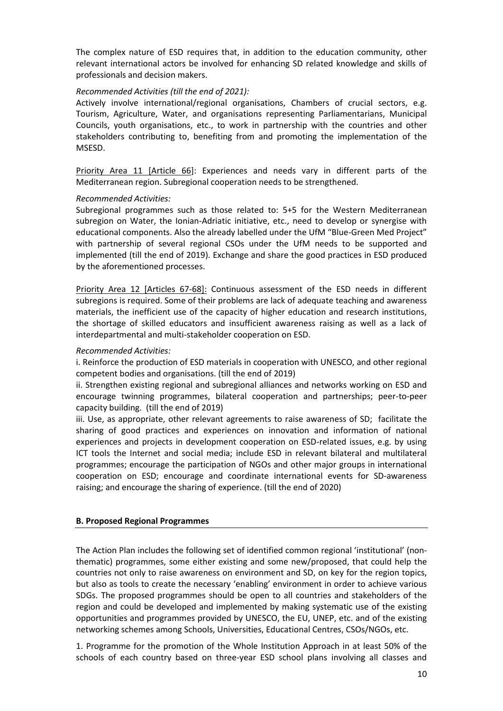The complex nature of ESD requires that, in addition to the education community, other relevant international actors be involved for enhancing SD related knowledge and skills of professionals and decision makers.

#### *Recommended Activities (till the end of 2021):*

Actively involve international/regional organisations, Chambers of crucial sectors, e.g. Tourism, Agriculture, Water, and organisations representing Parliamentarians, Municipal Councils, youth organisations, etc., to work in partnership with the countries and other stakeholders contributing to, benefiting from and promoting the implementation of the MSESD.

Priority Area 11 [Article 66]: Experiences and needs vary in different parts of the Mediterranean region. Subregional cooperation needs to be strengthened.

#### *Recommended Activities:*

Subregional programmes such as those related to: 5+5 for the Western Mediterranean subregion on Water, the Ionian-Adriatic initiative, etc., need to develop or synergise with educational components. Also the already labelled under the UfM "Blue-Green Med Project" with partnership of several regional CSOs under the UfM needs to be supported and implemented (till the end of 2019). Exchange and share the good practices in ESD produced by the aforementioned processes.

Priority Area 12 [Articles 67-68]: Continuous assessment of the ESD needs in different subregions is required. Some of their problems are lack of adequate teaching and awareness materials, the inefficient use of the capacity of higher education and research institutions, the shortage of skilled educators and insufficient awareness raising as well as a lack of interdepartmental and multi-stakeholder cooperation on ESD.

#### *Recommended Activities:*

i. Reinforce the production of ESD materials in cooperation with UNESCO, and other regional competent bodies and organisations. (till the end of 2019)

ii. Strengthen existing regional and subregional alliances and networks working on ESD and encourage twinning programmes, bilateral cooperation and partnerships; peer-to-peer capacity building. (till the end of 2019)

iii. Use, as appropriate, other relevant agreements to raise awareness of SD; facilitate the sharing of good practices and experiences on innovation and information of national experiences and projects in development cooperation on ESD-related issues, e.g. by using ICT tools the Internet and social media; include ESD in relevant bilateral and multilateral programmes; encourage the participation of NGOs and other major groups in international cooperation on ESD; encourage and coordinate international events for SD-awareness raising; and encourage the sharing of experience. (till the end of 2020)

#### **B. Proposed Regional Programmes**

The Action Plan includes the following set of identified common regional 'institutional' (nonthematic) programmes, some either existing and some new/proposed, that could help the countries not only to raise awareness on environment and SD, on key for the region topics, but also as tools to create the necessary 'enabling' environment in order to achieve various SDGs. The proposed programmes should be open to all countries and stakeholders of the region and could be developed and implemented by making systematic use of the existing opportunities and programmes provided by UNESCO, the EU, UNEP, etc. and of the existing networking schemes among Schools, Universities, Educational Centres, CSOs/NGOs, etc.

1. Programme for the promotion of the Whole Institution Approach in at least 50% of the schools of each country based on three-year ESD school plans involving all classes and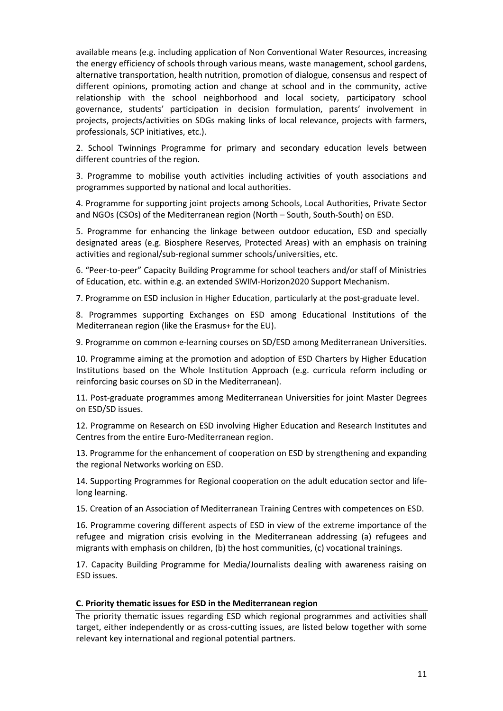available means (e.g. including application of Non Conventional Water Resources, increasing the energy efficiency of schools through various means, waste management, school gardens, alternative transportation, health nutrition, promotion of dialogue, consensus and respect of different opinions, promoting action and change at school and in the community, active relationship with the school neighborhood and local society, participatory school governance, students' participation in decision formulation, parents' involvement in projects, projects/activities on SDGs making links of local relevance, projects with farmers, professionals, SCP initiatives, etc.).

2. School Twinnings Programme for primary and secondary education levels between different countries of the region.

3. Programme to mobilise youth activities including activities of youth associations and programmes supported by national and local authorities.

4. Programme for supporting joint projects among Schools, Local Authorities, Private Sector and NGOs (CSOs) of the Mediterranean region (North – South, South-South) on ESD.

5. Programme for enhancing the linkage between outdoor education, ESD and specially designated areas (e.g. Biosphere Reserves, Protected Areas) with an emphasis on training activities and regional/sub-regional summer schools/universities, etc.

6. "Peer-to-peer" Capacity Building Programme for school teachers and/or staff of Ministries of Education, etc. within e.g. an extended SWIM-Horizon2020 Support Mechanism.

7. Programme on ESD inclusion in Higher Education, particularly at the post-graduate level.

8. Programmes supporting Exchanges on ESD among Educational Institutions of the Mediterranean region (like the Erasmus+ for the EU).

9. Programme on common e-learning courses on SD/ESD among Mediterranean Universities.

10. Programme aiming at the promotion and adoption of ESD Charters by Higher Education Institutions based on the Whole Institution Approach (e.g. curricula reform including or reinforcing basic courses on SD in the Mediterranean).

11. Post-graduate programmes among Mediterranean Universities for joint Master Degrees on ESD/SD issues.

12. Programme on Research on ESD involving Higher Education and Research Institutes and Centres from the entire Euro-Mediterranean region.

13. Programme for the enhancement of cooperation on ESD by strengthening and expanding the regional Networks working on ESD.

14. Supporting Programmes for Regional cooperation on the adult education sector and lifelong learning.

15. Creation of an Association of Mediterranean Training Centres with competences on ESD.

16. Programme covering different aspects of ESD in view of the extreme importance of the refugee and migration crisis evolving in the Mediterranean addressing (a) refugees and migrants with emphasis on children, (b) the host communities, (c) vocational trainings.

17. Capacity Building Programme for Media/Journalists dealing with awareness raising on ESD issues.

#### **C. Priority thematic issues for ESD in the Mediterranean region**

The priority thematic issues regarding ESD which regional programmes and activities shall target, either independently or as cross-cutting issues, are listed below together with some relevant key international and regional potential partners.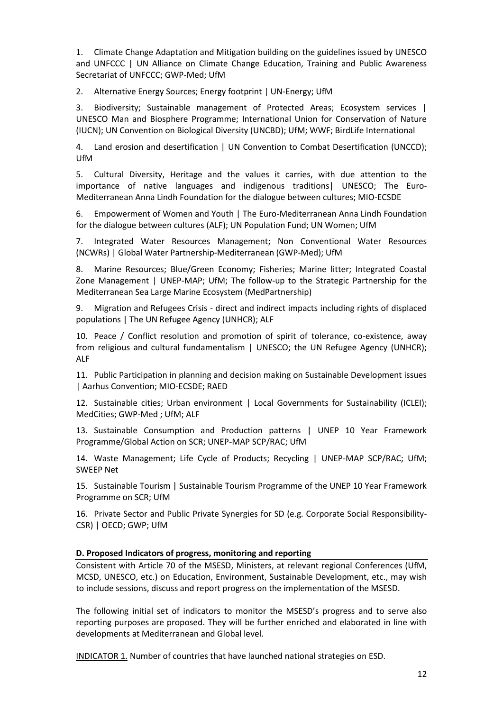1. Climate Change Adaptation and Mitigation building on the guidelines issued by UNESCO and UNFCCC | UN Alliance on Climate Change Education, Training and Public Awareness Secretariat of UNFCCC; GWP-Med; UfM

2. Alternative Energy Sources; Energy footprint | UN-Energy; UfM

3. Biodiversity; Sustainable management of Protected Areas; Ecosystem services | UNESCO Man and Biosphere Programme; International Union for Conservation of Nature (IUCN); UN Convention on Biological Diversity (UNCBD); UfM; WWF; BirdLife International

4. Land erosion and desertification | UN Convention to Combat Desertification (UNCCD); UfM

5. Cultural Diversity, Heritage and the values it carries, with due attention to the importance of native languages and indigenous traditions| UNESCO; The Euro-Mediterranean Anna Lindh Foundation for the dialogue between cultures; MIO-ECSDE

6. Empowerment of Women and Youth | The Euro-Mediterranean Anna Lindh Foundation for the dialogue between cultures (ALF); UN Population Fund; UN Women; UfM

7. Integrated Water Resources Management; Non Conventional Water Resources (NCWRs) | Global Water Partnership-Mediterranean (GWP-Med); UfM

8. Marine Resources; Blue/Green Economy; Fisheries; Marine litter; Integrated Coastal Zone Management | UNEP-MAP; UfM; The follow-up to the Strategic Partnership for the Mediterranean Sea Large Marine Ecosystem (MedPartnership)

9. Migration and Refugees Crisis - direct and indirect impacts including rights of displaced populations | The UN Refugee Agency (UNHCR); ALF

10. Peace / Conflict resolution and promotion of spirit of tolerance, co-existence, away from religious and cultural fundamentalism | UNESCO; the UN Refugee Agency (UNHCR); ALF

11. Public Participation in planning and decision making on Sustainable Development issues | Aarhus Convention; MIO-ECSDE; RAED

12. Sustainable cities; Urban environment | Local Governments for Sustainability (ICLEI); MedCities; GWP-Med ; UfM; ALF

13. Sustainable Consumption and Production patterns | UNEP 10 Year Framework Programme/Global Action on SCR; UNEP-MAP SCP/RAC; UfM

14. Waste Management; Life Cycle of Products; Recycling | UNEP-MAP SCP/RAC; UfM; SWEEP Net

15. Sustainable Tourism | Sustainable Tourism Programme of the UNEP 10 Year Framework Programme on SCR; UfM

16. Private Sector and Public Private Synergies for SD (e.g. Corporate Social Responsibility-CSR) | OECD; GWP; UfM

#### **D. Proposed Indicators of progress, monitoring and reporting**

Consistent with Article 70 of the MSESD, Ministers, at relevant regional Conferences (UfM, MCSD, UNESCO, etc.) on Education, Environment, Sustainable Development, etc., may wish to include sessions, discuss and report progress on the implementation of the MSESD.

The following initial set of indicators to monitor the MSESD's progress and to serve also reporting purposes are proposed. They will be further enriched and elaborated in line with developments at Mediterranean and Global level.

INDICATOR 1. Number of countries that have launched national strategies on ESD.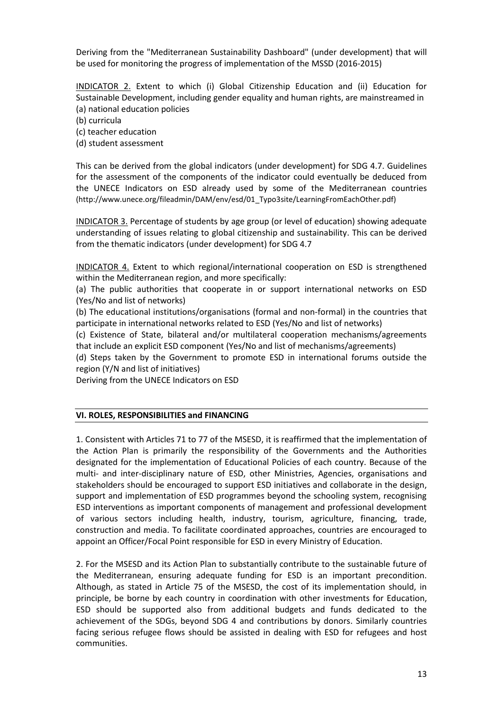Deriving from the "Mediterranean Sustainability Dashboard" (under development) that will be used for monitoring the progress of implementation of the MSSD (2016-2015)

INDICATOR 2. Extent to which (i) Global Citizenship Education and (ii) Education for Sustainable Development, including gender equality and human rights, are mainstreamed in (a) national education policies

(b) curricula

(c) teacher education

(d) student assessment

This can be derived from the global indicators (under development) for SDG 4.7. Guidelines for the assessment of the components of the indicator could eventually be deduced from the UNECE Indicators on ESD already used by some of the Mediterranean countries (http://www.unece.org/fileadmin/DAM/env/esd/01\_Typo3site/LearningFromEachOther.pdf)

INDICATOR 3. Percentage of students by age group (or level of education) showing adequate understanding of issues relating to global citizenship and sustainability. This can be derived from the thematic indicators (under development) for SDG 4.7

INDICATOR 4. Extent to which regional/international cooperation on ESD is strengthened within the Mediterranean region, and more specifically:

(a) The public authorities that cooperate in or support international networks on ESD (Yes/No and list of networks)

(b) The educational institutions/organisations (formal and non-formal) in the countries that participate in international networks related to ESD (Yes/No and list of networks)

(c) Existence of State, bilateral and/or multilateral cooperation mechanisms/agreements that include an explicit ESD component (Yes/No and list of mechanisms/agreements)

(d) Steps taken by the Government to promote ESD in international forums outside the region (Y/N and list of initiatives)

Deriving from the UNECE Indicators on ESD

#### **VI. ROLES, RESPONSIBILITIES and FINANCING**

1. Consistent with Articles 71 to 77 of the MSESD, it is reaffirmed that the implementation of the Action Plan is primarily the responsibility of the Governments and the Authorities designated for the implementation of Educational Policies of each country. Because of the multi- and inter-disciplinary nature of ESD, other Ministries, Agencies, organisations and stakeholders should be encouraged to support ESD initiatives and collaborate in the design, support and implementation of ESD programmes beyond the schooling system, recognising ESD interventions as important components of management and professional development of various sectors including health, industry, tourism, agriculture, financing, trade, construction and media. To facilitate coordinated approaches, countries are encouraged to appoint an Officer/Focal Point responsible for ESD in every Ministry of Education.

2. For the MSESD and its Action Plan to substantially contribute to the sustainable future of the Mediterranean, ensuring adequate funding for ESD is an important precondition. Although, as stated in Article 75 of the MSESD, the cost of its implementation should, in principle, be borne by each country in coordination with other investments for Education, ESD should be supported also from additional budgets and funds dedicated to the achievement of the SDGs, beyond SDG 4 and contributions by donors. Similarly countries facing serious refugee flows should be assisted in dealing with ESD for refugees and host communities.